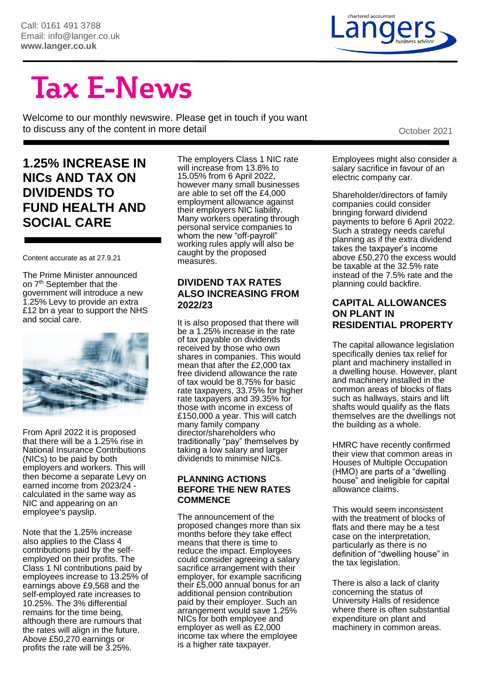

# **Tax E-News**

Welcome to our monthly newswire. Please get in touch if you want to discuss any of the content in more detail detail of the content of the content in more detail of the content of the content of the content of the content in more detail of the content of the content of the content of th

# **1.25% INCREASE IN NICs AND TAX ON DIVIDENDS TO FUND HEALTH AND SOCIAL CARE**

Content accurate as at 27.9.21

The Prime Minister announced on 7<sup>th</sup> September that the government will introduce a new 1.25% Levy to provide an extra £12 bn a year to support the NHS and social care.



From April 2022 it is proposed that there will be a 1.25% rise in National Insurance Contributions (NICs) to be paid by both employers and workers. This will then become a separate Levy on earned income from 2023/24 calculated in the same way as NIC and appearing on an employee's payslip.

Note that the 1.25% increase also applies to the Class 4 contributions paid by the selfemployed on their profits. The Class 1 NI contributions paid by employees increase to 13.25% of earnings above £9,568 and the self-employed rate increases to 10.25%. The 3% differential remains for the time being, although there are rumours that the rates will align in the future. Above £50,270 earnings or profits the rate will be 3.25%.

The employers Class 1 NIC rate will increase from 13.8% to 15.05% from 6 April 2022, however many small businesses are able to set off the £4,000 employment allowance against their employers NIC liability. Many workers operating through personal service companies to whom the new "off-payroll" working rules apply will also be caught by the proposed measures.

#### **DIVIDEND TAX RATES ALSO INCREASING FROM 2022/23**

It is also proposed that there will be a 1.25% increase in the rate of tax payable on dividends received by those who own shares in companies. This would mean that after the £2,000 tax free dividend allowance the rate of tax would be 8.75% for basic rate taxpayers, 33.75% for higher rate taxpayers and 39.35% for those with income in excess of £150,000 a year. This will catch many family company director/shareholders who traditionally "pay" themselves by taking a low salary and larger dividends to minimise NICs.

#### **PLANNING ACTIONS BEFORE THE NEW RATES COMMENCE**

The announcement of the proposed changes more than six months before they take effect means that there is time to reduce the impact. Employees could consider agreeing a salary sacrifice arrangement with their employer, for example sacrificing their £5,000 annual bonus for an additional pension contribution paid by their employer. Such an arrangement would save 1.25% NICs for both employee and employer as well as £2,000 income tax where the employee is a higher rate taxpayer.

Employees might also consider a salary sacrifice in favour of an electric company car.

Shareholder/directors of family companies could consider bringing forward dividend payments to before 6 April 2022. Such a strategy needs careful planning as if the extra dividend takes the taxpayer's income above £50,270 the excess would be taxable at the 32.5% rate instead of the 7.5% rate and the planning could backfire.

#### **CAPITAL ALLOWANCES ON PLANT IN RESIDENTIAL PROPERTY**

The capital allowance legislation specifically denies tax relief for plant and machinery installed in a dwelling house. However, plant and machinery installed in the common areas of blocks of flats such as hallways, stairs and lift shafts would qualify as the flats themselves are the dwellings not the building as a whole.

HMRC have recently confirmed their view that common areas in Houses of Multiple Occupation (HMO) are parts of a "dwelling house" and ineligible for capital allowance claims.

This would seem inconsistent with the treatment of blocks of flats and there may be a test case on the interpretation, particularly as there is no definition of "dwelling house" in the tax legislation.

There is also a lack of clarity concerning the status of University Halls of residence where there is often substantial expenditure on plant and machinery in common areas.